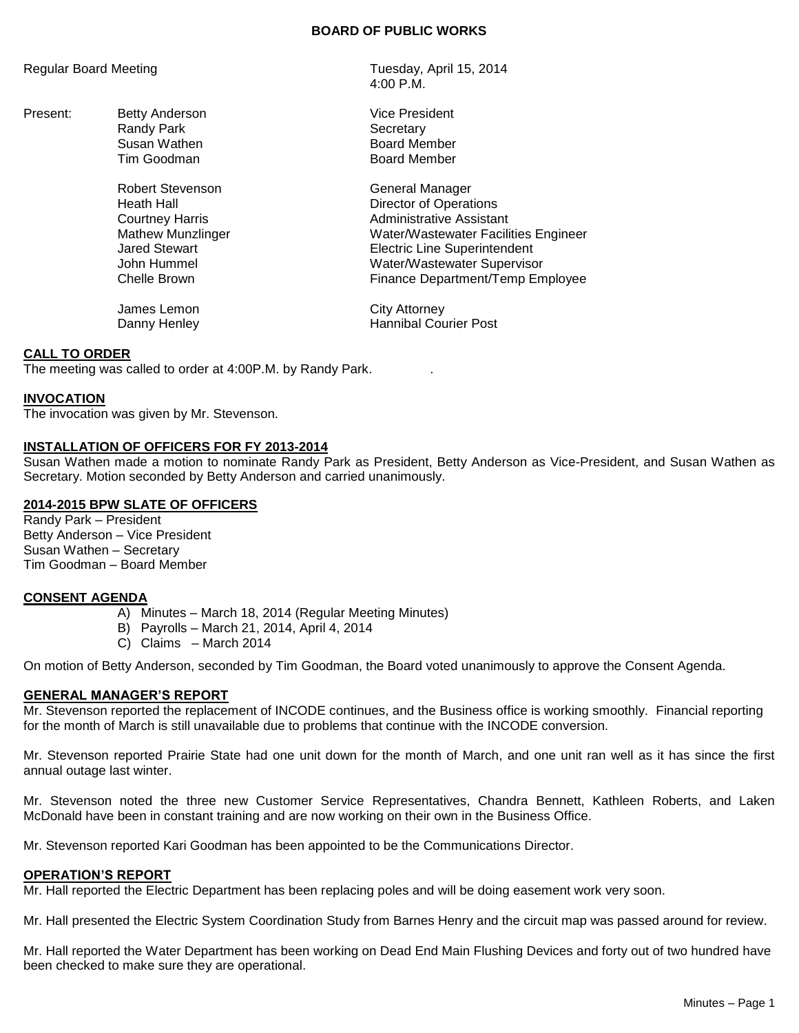#### **BOARD OF PUBLIC WORKS**

Present: Betty Anderson Vice President Randy Park **Secretary** 

Robert Stevenson General Manager

James Lemon City Attorney

Regular Board Meeting Tuesday, April 15, 2014 4:00 P.M.

> Susan Wathen **Board Member**<br>Tim Goodman Board Member Board Member

Heath Hall **Hall** Director of Operations Courtney Harris **Administrative Assistant** Mathew Munzlinger Water/Wastewater Facilities Engineer Jared Stewart Electric Line Superintendent John Hummel Water/Wastewater Supervisor Chelle Brown Finance Department/Temp Employee

Danny Henley **Hannibal Courier Post** 

# **CALL TO ORDER**

The meeting was called to order at 4:00P.M. by Randy Park. .

#### **INVOCATION**

The invocation was given by Mr. Stevenson.

#### **INSTALLATION OF OFFICERS FOR FY 2013-2014**

Susan Wathen made a motion to nominate Randy Park as President, Betty Anderson as Vice-President, and Susan Wathen as Secretary. Motion seconded by Betty Anderson and carried unanimously.

## **2014-2015 BPW SLATE OF OFFICERS**

Randy Park – President Betty Anderson – Vice President Susan Wathen – Secretary Tim Goodman – Board Member

## **CONSENT AGENDA**

- A) Minutes March 18, 2014 (Regular Meeting Minutes)
- B) Payrolls March 21, 2014, April 4, 2014
- C) Claims March 2014

On motion of Betty Anderson, seconded by Tim Goodman, the Board voted unanimously to approve the Consent Agenda.

## **GENERAL MANAGER'S REPORT**

Mr. Stevenson reported the replacement of INCODE continues, and the Business office is working smoothly. Financial reporting for the month of March is still unavailable due to problems that continue with the INCODE conversion.

Mr. Stevenson reported Prairie State had one unit down for the month of March, and one unit ran well as it has since the first annual outage last winter.

Mr. Stevenson noted the three new Customer Service Representatives, Chandra Bennett, Kathleen Roberts, and Laken McDonald have been in constant training and are now working on their own in the Business Office.

Mr. Stevenson reported Kari Goodman has been appointed to be the Communications Director.

#### **OPERATION'S REPORT**

Mr. Hall reported the Electric Department has been replacing poles and will be doing easement work very soon.

Mr. Hall presented the Electric System Coordination Study from Barnes Henry and the circuit map was passed around for review.

Mr. Hall reported the Water Department has been working on Dead End Main Flushing Devices and forty out of two hundred have been checked to make sure they are operational.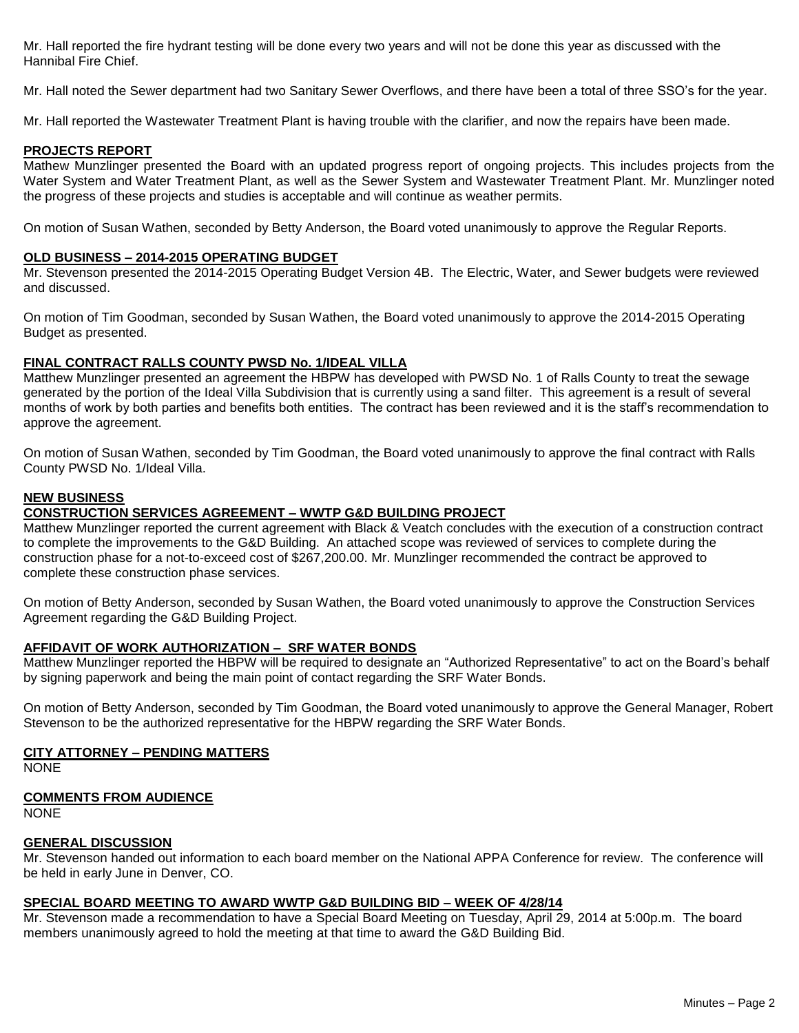Mr. Hall reported the fire hydrant testing will be done every two years and will not be done this year as discussed with the Hannibal Fire Chief.

Mr. Hall noted the Sewer department had two Sanitary Sewer Overflows, and there have been a total of three SSO's for the year.

Mr. Hall reported the Wastewater Treatment Plant is having trouble with the clarifier, and now the repairs have been made.

# **PROJECTS REPORT**

Mathew Munzlinger presented the Board with an updated progress report of ongoing projects. This includes projects from the Water System and Water Treatment Plant, as well as the Sewer System and Wastewater Treatment Plant. Mr. Munzlinger noted the progress of these projects and studies is acceptable and will continue as weather permits.

On motion of Susan Wathen, seconded by Betty Anderson, the Board voted unanimously to approve the Regular Reports.

## **OLD BUSINESS – 2014-2015 OPERATING BUDGET**

Mr. Stevenson presented the 2014-2015 Operating Budget Version 4B. The Electric, Water, and Sewer budgets were reviewed and discussed.

On motion of Tim Goodman, seconded by Susan Wathen, the Board voted unanimously to approve the 2014-2015 Operating Budget as presented.

# **FINAL CONTRACT RALLS COUNTY PWSD No. 1/IDEAL VILLA**

Matthew Munzlinger presented an agreement the HBPW has developed with PWSD No. 1 of Ralls County to treat the sewage generated by the portion of the Ideal Villa Subdivision that is currently using a sand filter. This agreement is a result of several months of work by both parties and benefits both entities. The contract has been reviewed and it is the staff's recommendation to approve the agreement.

On motion of Susan Wathen, seconded by Tim Goodman, the Board voted unanimously to approve the final contract with Ralls County PWSD No. 1/Ideal Villa.

# **NEW BUSINESS**

# **CONSTRUCTION SERVICES AGREEMENT – WWTP G&D BUILDING PROJECT**

Matthew Munzlinger reported the current agreement with Black & Veatch concludes with the execution of a construction contract to complete the improvements to the G&D Building. An attached scope was reviewed of services to complete during the construction phase for a not-to-exceed cost of \$267,200.00. Mr. Munzlinger recommended the contract be approved to complete these construction phase services.

On motion of Betty Anderson, seconded by Susan Wathen, the Board voted unanimously to approve the Construction Services Agreement regarding the G&D Building Project.

## **AFFIDAVIT OF WORK AUTHORIZATION – SRF WATER BONDS**

Matthew Munzlinger reported the HBPW will be required to designate an "Authorized Representative" to act on the Board's behalf by signing paperwork and being the main point of contact regarding the SRF Water Bonds.

On motion of Betty Anderson, seconded by Tim Goodman, the Board voted unanimously to approve the General Manager, Robert Stevenson to be the authorized representative for the HBPW regarding the SRF Water Bonds.

## **CITY ATTORNEY – PENDING MATTERS**

NONE

# **COMMENTS FROM AUDIENCE**

NONE

# **GENERAL DISCUSSION**

Mr. Stevenson handed out information to each board member on the National APPA Conference for review. The conference will be held in early June in Denver, CO.

# **SPECIAL BOARD MEETING TO AWARD WWTP G&D BUILDING BID – WEEK OF 4/28/14**

Mr. Stevenson made a recommendation to have a Special Board Meeting on Tuesday, April 29, 2014 at 5:00p.m. The board members unanimously agreed to hold the meeting at that time to award the G&D Building Bid.